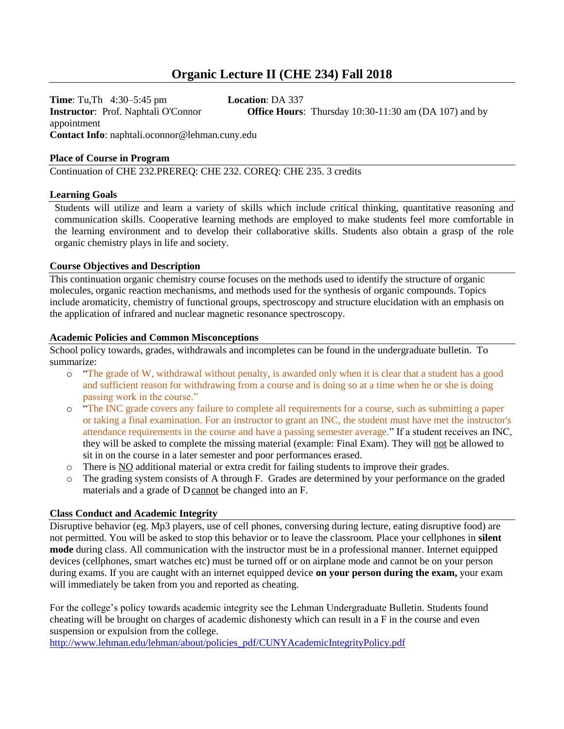# **Organic Lecture II (CHE 234) Fall 2018**

**Time**: Tu,Th 4:30–5:45 pm **Location**: DA 337 **Instructor**: Prof. Naphtali O'Connor **Office Hours**: Thursday 10:30-11:30 am (DA 107) and by appointment **Contact Info**: naphtali.oconnor@lehman.cuny.edu

#### **Place of Course in Program**

Continuation of CHE 232.PREREQ: CHE 232. COREQ: CHE 235. 3 credits

## **Learning Goals**

Students will utilize and learn a variety of skills which include critical thinking, quantitative reasoning and communication skills. Cooperative learning methods are employed to make students feel more comfortable in the learning environment and to develop their collaborative skills. Students also obtain a grasp of the role organic chemistry plays in life and society.

## **Course Objectives and Description**

This continuation organic chemistry course focuses on the methods used to identify the structure of organic molecules, organic reaction mechanisms, and methods used for the synthesis of organic compounds. Topics include aromaticity, chemistry of functional groups, spectroscopy and structure elucidation with an emphasis on the application of infrared and nuclear magnetic resonance spectroscopy.

#### **Academic Policies and Common Misconceptions**

School policy towards, grades, withdrawals and incompletes can be found in the undergraduate bulletin. To summarize:

- o "The grade of W, withdrawal without penalty, is awarded only when it is clear that a student has a good and sufficient reason for withdrawing from a course and is doing so at a time when he or she is doing passing work in the course."
- o "The INC grade covers any failure to complete all requirements for a course, such as submitting a paper or taking a final examination. For an instructor to grant an INC, the student must have met the instructor's attendance requirements in the course and have a passing semester average." If a student receives an INC, they will be asked to complete the missing material (example: Final Exam). They will not be allowed to sit in on the course in a later semester and poor performances erased.
- o There is NO additional material or extra credit for failing students to improve their grades.
- o The grading system consists of A through F. Grades are determined by your performance on the graded materials and a grade of Dcannot be changed into an F.

#### **Class Conduct and Academic Integrity**

Disruptive behavior (eg. Mp3 players, use of cell phones, conversing during lecture, eating disruptive food) are not permitted. You will be asked to stop this behavior or to leave the classroom. Place your cellphones in **silent mode** during class. All communication with the instructor must be in a professional manner. Internet equipped devices (cellphones, smart watches etc) must be turned off or on airplane mode and cannot be on your person during exams. If you are caught with an internet equipped device **on your person during the exam,** your exam will immediately be taken from you and reported as cheating.

For the college's policy towards academic integrity see the Lehman Undergraduate Bulletin. Students found cheating will be brought on charges of academic dishonesty which can result in a F in the course and even suspension or expulsion from the college.

[http://www.lehman.edu/lehman/about/policies\\_pdf/CUNYAcademicIntegrityPolicy.pdf](http://www.lehman.edu/lehman/about/policies_pdf/CUNYAcademicIntegrityPolicy.pdf)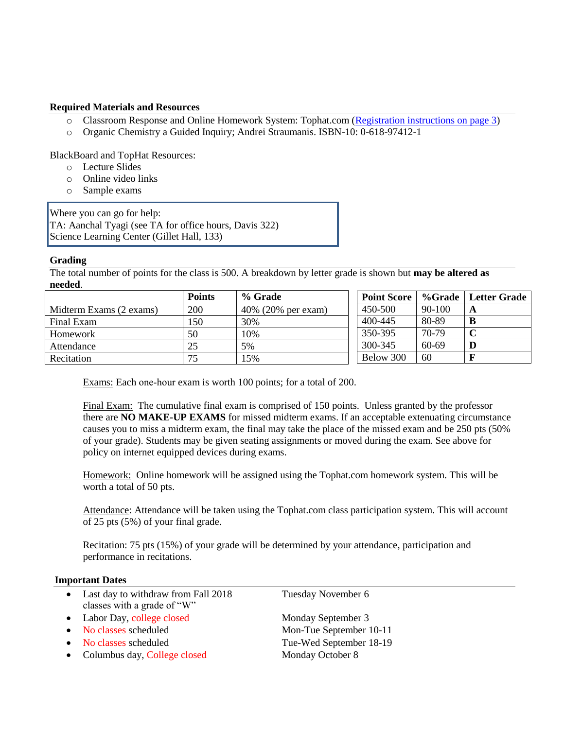## **Required Materials and Resources**

- o Classroom Response and Online Homework System: Tophat.com [\(Registration instructions on page 3\)](#page-2-0)
- o Organic Chemistry a Guided Inquiry; Andrei Straumanis. ISBN-10: 0-618-97412-1

BlackBoard and TopHat Resources:

- o Lecture Slides
- o Online video links
- o Sample exams

Where you can go for help: TA: Aanchal Tyagi (see TA for office hours, Davis 322) Science Learning Center (Gillet Hall, 133)

## **Grading**

The total number of points for the class is 500. A breakdown by letter grade is shown but **may be altered as needed**.

|                         | <b>Points</b> | % Grade            | <b>Point Score</b> |          | %Grade   Letter Grade |
|-------------------------|---------------|--------------------|--------------------|----------|-----------------------|
| Midterm Exams (2 exams) | 200           | 40% (20% per exam) | 450-500            | $90-100$ | A                     |
| Final Exam              | 150           | 30%                | 400-445            | 80-89    |                       |
| Homework                | 50            | 10%                | 350-395            | 70-79    |                       |
| Attendance              | 25            | 5%                 | 300-345            | $60-69$  |                       |
| Recitation              | 75            | 15%                | Below 300          | 60       |                       |

Exams: Each one‐hour exam is worth 100 points; for a total of 200.

Final Exam: The cumulative final exam is comprised of 150 points. Unless granted by the professor there are **NO MAKE-UP EXAMS** for missed midterm exams. If an acceptable extenuating circumstance causes you to miss a midterm exam, the final may take the place of the missed exam and be 250 pts (50% of your grade). Students may be given seating assignments or moved during the exam. See above for policy on internet equipped devices during exams.

Homework: Online homework will be assigned using the Tophat.com homework system. This will be worth a total of 50 pts.

Attendance: Attendance will be taken using the Tophat.com class participation system. This will account of 25 pts (5%) of your final grade.

Recitation: 75 pts (15%) of your grade will be determined by your attendance, participation and performance in recitations.

#### **Important Dates**

- Last day to withdraw from Fall 2018 Tuesday November 6 classes with a grade of "W"
- Labor Day, college closed Monday September 3
- 
- 
- Columbus day, College closed Monday October 8

• No classes scheduled Mon-Tue September 10-11 • No classes scheduled Tue-Wed September 18-19